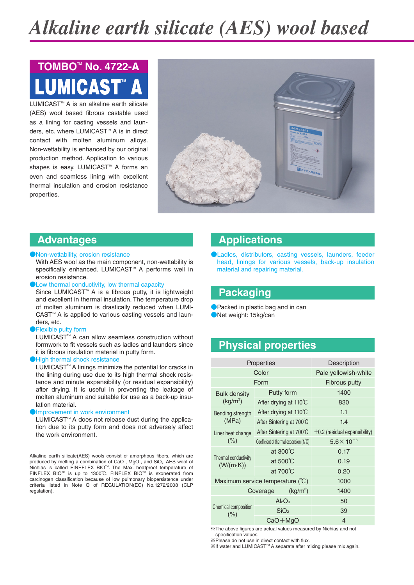# *Alkaline earth silicate (AES) wool based*

# LUMICAST" A **TOMBOTM No. 4722-A**

LUMICAST<sup>™</sup> A is an alkaline earth silicate (AES) wool based fibrous castable used as a lining for casting vessels and launders, etc. where LUMICAST<sup>™</sup> A is in direct contact with molten aluminum alloys. Non-wettability is enhanced by our original production method. Application to various shapes is easy. LUMICAST<sup>™</sup> A forms an even and seamless lining with excellent thermal insulation and erosion resistance properties.



## **Advantages**

#### **Non-wettability, erosion resistance**

With AES wool as the main component, non-wettability is specifically enhanced. LUMICAST<sup>™</sup> A performs well in erosion resistance.

### Low thermal conductivity, low thermal capacity

Since LUMICAST<sup>™</sup> A is a fibrous putty, it is lightweight and excellent in thermal insulation. The temperature drop of molten aluminum is drastically reduced when LUMI-CAST<sup>™</sup> A is applied to various casting vessels and launders, etc.

#### **Flexible putty form**

LUMICAST<sup>™</sup> A can allow seamless construction without formwork to fit vessels such as ladles and launders since it is fibrous insulation material in putty form.

#### High thermal shock resistance

LUMICAST<sup>™</sup> A linings minimize the potential for cracks in the lining during use due to its high thermal shock resistance and minute expansibility (or residual expansibility) after drying. It is useful in preventing the leakage of molten aluminum and suitable for use as a back-up insulation material.

#### ●Improvement in work environment

LUMICAST<sup>™</sup> A does not release dust during the application due to its putty form and does not adversely affect the work environment.

Alkaline earth silicate(AES) wools consist of amorphous fibers, which are produced by melting a combination of CaO-, MgO-, and SiO<sub>2</sub>. AES wool of Nichias is called FINEFLEX BIO™. The Max. heatproof temperature of FINFLEX BIOTM is up to 1300℃. FINFLEX BIOTM is exonerated from carcinogen classification because of low pulmonary biopersistence under criteria listed in Note Q of REGULATION(EC) No.1272/2008 (CLP regulation).

# **Applications**

●Ladles, distributors, casting vessels, launders, feeder head, linings for various vessels, back-up insulation material and repairing material.

## **Packaging**

● Packed in plastic bag and in can ●Net weight: 15kg/can

# **Physical properties**

| <b>Properties</b>                         |                                         | Description                     |  |  |
|-------------------------------------------|-----------------------------------------|---------------------------------|--|--|
| Color                                     |                                         | Pale yellowish-white            |  |  |
| Form                                      |                                         | Fibrous putty                   |  |  |
| <b>Bulk density</b><br>$(kq/m^3)$         | Putty form                              | 1400                            |  |  |
|                                           | After drying at 110°C                   | 830                             |  |  |
| Bending strength<br>(MPa)                 | After drying at 110°C                   | 1.1                             |  |  |
|                                           | After Sintering at 700°C                | 1.4                             |  |  |
| Liner heat change<br>(%)                  | After Sintering at 700°C                | $+0.2$ (residual expansibility) |  |  |
|                                           | Coefficient of thermal expansion (1/°C) | $5.6 \times 10^{-6}$            |  |  |
| Thermal conductivity<br>$(W/(m \cdot K))$ | at $300^{\circ}$ C                      | 0.17                            |  |  |
|                                           | at $500^{\circ}$ C                      | 0.19                            |  |  |
|                                           | at $700^{\circ}$ C                      | 0.20                            |  |  |
| Maximum service temperature (°C)          |                                         | 1000                            |  |  |
| (kg/m <sup>3</sup> )<br>Coverage          |                                         | 1400                            |  |  |
| Chemical composition<br>(%)               | $Al_2O_3$                               | 50                              |  |  |
|                                           | SiO <sub>2</sub>                        | 39                              |  |  |
|                                           | $CaO + MgO$                             | 4                               |  |  |

※The above figures are actual values measured by Nichias and not specification values.

※If water and LUMICASTTM A separate after mixing please mix again.

<sup>※</sup>Please do not use in direct contact with flux.